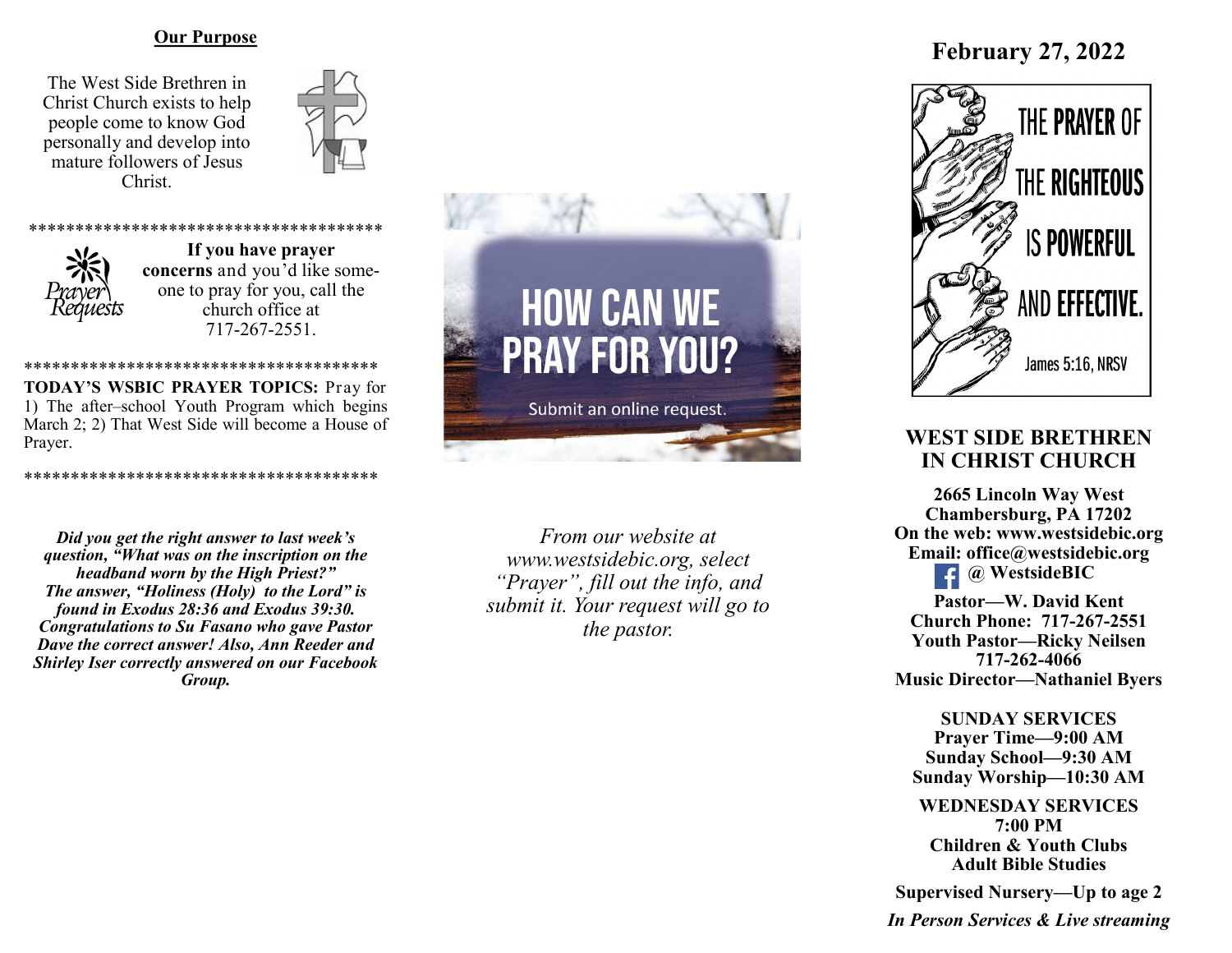#### **Our Purpose**

The West Side Brethren in Christ Church exists to help people come to know God personally and develop into mature followers of Jesus Christ.





\*\*\*\*\*\*\*\*\*\*\*\*\*\*\*\*\*\*\*\*\*\*\*\*\*\*\*\*\*\*\*\*\*\*\*\*\*\* **If you have prayer concerns** and you'd like someone to pray for you, call the church office at 717-267-2551.

\*\*\*\*\*\*\*\*\*\*\*\*\*\*\*\*\*\*\*\*\*\*\*\*\*\*\*\*\*\*\*\*\*\*\*\*\*\* **TODAY'S WSBIC PRAYER TOPICS:** Pray for 1) The after–school Youth Program which begins March 2; 2) That West Side will become a House of Prayer.

\*\*\*\*\*\*\*\*\*\*\*\*\*\*\*\*\*\*\*\*\*\*\*\*\*\*\*\*\*\*\*\*\*\*

```
Did you get the right answer to last week's 
 question, "What was on the inscription on the 
     headband worn by the High Priest?"
 The answer, "Holiness (Holy) to the Lord" is 
  found in Exodus 28:36 and Exodus 39:30.
Congratulations to Su Fasano who gave Pastor 
Dave the correct answer! Also, Ann Reeder and 
Shirley Iser correctly answered on our Facebook 
                    Group.
```


*From our website at www.westsidebic.org, select "Prayer", fill out the info, and submit it. Your request will go to the pastor.*

# **February 27, 2022**



# **WEST SIDE BRETHREN IN CHRIST CHURCH**

**2665 Lincoln Way West Chambersburg, PA 17202 On the web: [www.westsidebic.org](http://www.westsidebic.org) Email: office@westsidebic.org @ WestsideBIC**   $\left| \cdot \right|$ **Pastor—W. David Kent**

**Church Phone: 717-267-2551 Youth Pastor—Ricky Neilsen 717-262-4066 Music Director—Nathaniel Byers**

**SUNDAY SERVICES Prayer Time—9:00 AM Sunday School—9:30 AM Sunday Worship—10:30 AM**

**WEDNESDAY SERVICES 7:00 PM Children & Youth Clubs Adult Bible Studies**

**Supervised Nursery—Up to age 2**

*In Person Services & Live streaming*